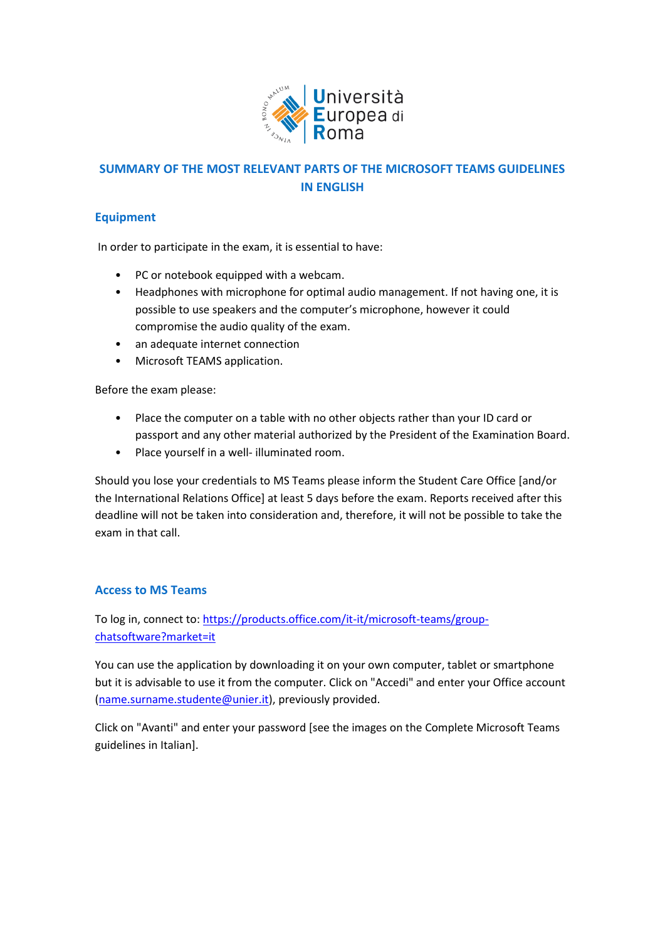

# **SUMMARY OF THE MOST RELEVANT PARTS OF THE MICROSOFT TEAMS GUIDELINES IN ENGLISH**

## **Equipment**

In order to participate in the exam, it is essential to have:

- PC or notebook equipped with a webcam.
- Headphones with microphone for optimal audio management. If not having one, it is possible to use speakers and the computer's microphone, however it could compromise the audio quality of the exam.
- an adequate internet connection
- Microsoft TEAMS application.

Before the exam please:

- Place the computer on a table with no other objects rather than your ID card or passport and any other material authorized by the President of the Examination Board.
- Place yourself in a well- illuminated room.

Should you lose your credentials to MS Teams please inform the Student Care Office [and/or the International Relations Office] at least 5 days before the exam. Reports received after this deadline will not be taken into consideration and, therefore, it will not be possible to take the exam in that call.

## **Access to MS Teams**

To log in, connect to[: https://products.office.com/it-it/microsoft-teams/group](https://products.office.com/it-it/microsoft-teams/group-chatsoftware?market=it)[chatsoftware?market=it](https://products.office.com/it-it/microsoft-teams/group-chatsoftware?market=it)

You can use the application by downloading it on your own computer, tablet or smartphone but it is advisable to use it from the computer. Click on "Accedi" and enter your Office account [\(name.surname.studente@unier.it\)](mailto:name.surname.studente@unier.it), previously provided.

Click on "Avanti" and enter your password [see the images on the Complete Microsoft Teams guidelines in Italian].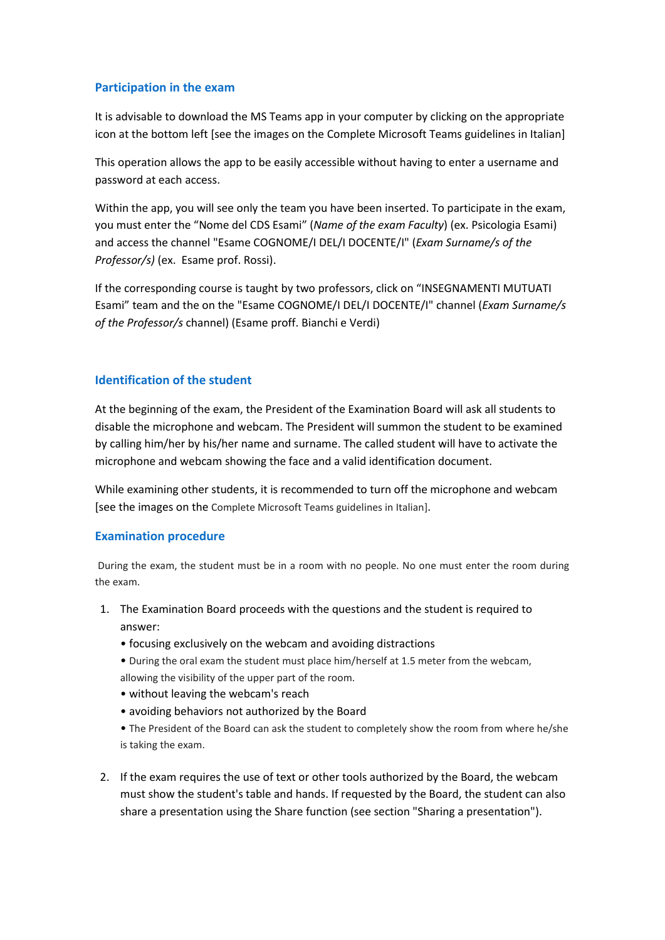## **Participation in the exam**

It is advisable to download the MS Teams app in your computer by clicking on the appropriate icon at the bottom left [see the images on the Complete Microsoft Teams guidelines in Italian]

This operation allows the app to be easily accessible without having to enter a username and password at each access.

Within the app, you will see only the team you have been inserted. To participate in the exam, you must enter the "Nome del CDS Esami" (*Name of the exam Faculty*) (ex. Psicologia Esami) and access the channel "Esame COGNOME/I DEL/I DOCENTE/I" (*Exam Surname/s of the Professor/s)* (ex. Esame prof. Rossi).

If the corresponding course is taught by two professors, click on "INSEGNAMENTI MUTUATI Esami" team and the on the "Esame COGNOME/I DEL/I DOCENTE/I" channel (*Exam Surname/s of the Professor/s* channel) (Esame proff. Bianchi e Verdi)

#### **Identification of the student**

At the beginning of the exam, the President of the Examination Board will ask all students to disable the microphone and webcam. The President will summon the student to be examined by calling him/her by his/her name and surname. The called student will have to activate the microphone and webcam showing the face and a valid identification document.

While examining other students, it is recommended to turn off the microphone and webcam [see the images on the Complete Microsoft Teams guidelines in Italian].

#### **Examination procedure**

During the exam, the student must be in a room with no people. No one must enter the room during the exam.

- 1. The Examination Board proceeds with the questions and the student is required to answer:
	- focusing exclusively on the webcam and avoiding distractions
	- During the oral exam the student must place him/herself at 1.5 meter from the webcam, allowing the visibility of the upper part of the room.
	- without leaving the webcam's reach
	- avoiding behaviors not authorized by the Board
	- The President of the Board can ask the student to completely show the room from where he/she is taking the exam.
- 2. If the exam requires the use of text or other tools authorized by the Board, the webcam must show the student's table and hands. If requested by the Board, the student can also share a presentation using the Share function (see section "Sharing a presentation").